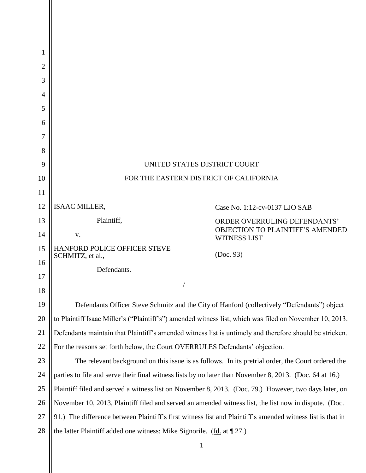| 1  |                                                                                                            |                                                                |
|----|------------------------------------------------------------------------------------------------------------|----------------------------------------------------------------|
| 2  |                                                                                                            |                                                                |
| 3  |                                                                                                            |                                                                |
| 4  |                                                                                                            |                                                                |
| 5  |                                                                                                            |                                                                |
| 6  |                                                                                                            |                                                                |
| 7  |                                                                                                            |                                                                |
| 8  |                                                                                                            |                                                                |
| 9  | UNITED STATES DISTRICT COURT                                                                               |                                                                |
| 10 | FOR THE EASTERN DISTRICT OF CALIFORNIA                                                                     |                                                                |
| 11 |                                                                                                            |                                                                |
| 12 | <b>ISAAC MILLER,</b>                                                                                       | Case No. 1:12-cv-0137 LJO SAB                                  |
| 13 | Plaintiff,                                                                                                 | ORDER OVERRULING DEFENDANTS'                                   |
| 14 | V.                                                                                                         | <b>OBJECTION TO PLAINTIFF'S AMENDED</b><br><b>WITNESS LIST</b> |
| 15 | <b>HANFORD POLICE OFFICER STEVE</b><br>SCHMITZ, et al.,                                                    | (Doc. 93)                                                      |
| 16 | Defendants.                                                                                                |                                                                |
| 17 |                                                                                                            |                                                                |
| 18 |                                                                                                            |                                                                |
| 19 | Defendants Officer Steve Schmitz and the City of Hanford (collectively "Defendants") object                |                                                                |
| 20 | to Plaintiff Isaac Miller's ("Plaintiff's") amended witness list, which was filed on November 10, 2013.    |                                                                |
| 21 | Defendants maintain that Plaintiff's amended witness list is untimely and therefore should be stricken.    |                                                                |
| 22 | For the reasons set forth below, the Court OVERRULES Defendants' objection.                                |                                                                |
| 23 | The relevant background on this issue is as follows. In its pretrial order, the Court ordered the          |                                                                |
| 24 | parties to file and serve their final witness lists by no later than November 8, 2013. (Doc. 64 at 16.)    |                                                                |
| 25 | Plaintiff filed and served a witness list on November 8, 2013. (Doc. 79.) However, two days later, on      |                                                                |
| 26 | November 10, 2013, Plaintiff filed and served an amended witness list, the list now in dispute. (Doc.      |                                                                |
| 27 | 91.) The difference between Plaintiff's first witness list and Plaintiff's amended witness list is that in |                                                                |
| 28 | the latter Plaintiff added one witness: Mike Signorile. (Id. at $\llbracket 27.$ )                         |                                                                |
|    |                                                                                                            | $\mathbf{1}$                                                   |